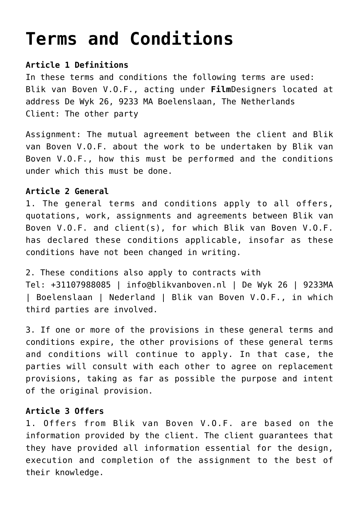# **[Terms and Conditions](https://www.filmdesigners.com/terms-and-conditions/)**

# **Article 1 Definitions**

In these terms and conditions the following terms are used: Blik van Boven V.O.F., acting under **Film**Designers located at address De Wyk 26, 9233 MA Boelenslaan, The Netherlands Client: The other party

Assignment: The mutual agreement between the client and Blik van Boven V.O.F. about the work to be undertaken by Blik van Boven V.O.F., how this must be performed and the conditions under which this must be done.

## **Article 2 General**

1. The general terms and conditions apply to all offers, quotations, work, assignments and agreements between Blik van Boven V.O.F. and client(s), for which Blik van Boven V.O.F. has declared these conditions applicable, insofar as these conditions have not been changed in writing.

2. These conditions also apply to contracts with Tel: +31107988085 | info@blikvanboven.nl | De Wyk 26 | 9233MA | Boelenslaan | Nederland | Blik van Boven V.O.F., in which third parties are involved.

3. If one or more of the provisions in these general terms and conditions expire, the other provisions of these general terms and conditions will continue to apply. In that case, the parties will consult with each other to agree on replacement provisions, taking as far as possible the purpose and intent of the original provision.

## **Article 3 Offers**

1. Offers from Blik van Boven V.O.F. are based on the information provided by the client. The client guarantees that they have provided all information essential for the design, execution and completion of the assignment to the best of their knowledge.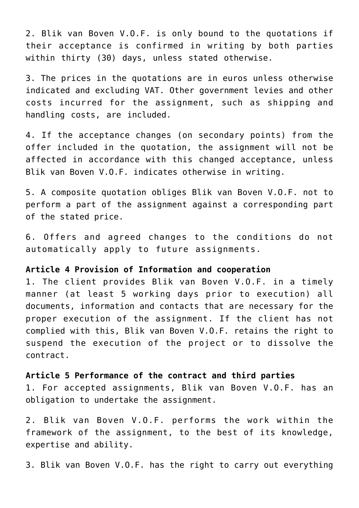2. Blik van Boven V.O.F. is only bound to the quotations if their acceptance is confirmed in writing by both parties within thirty (30) days, unless stated otherwise.

3. The prices in the quotations are in euros unless otherwise indicated and excluding VAT. Other government levies and other costs incurred for the assignment, such as shipping and handling costs, are included.

4. If the acceptance changes (on secondary points) from the offer included in the quotation, the assignment will not be affected in accordance with this changed acceptance, unless Blik van Boven V.O.F. indicates otherwise in writing.

5. A composite quotation obliges Blik van Boven V.O.F. not to perform a part of the assignment against a corresponding part of the stated price.

6. Offers and agreed changes to the conditions do not automatically apply to future assignments.

## **Article 4 Provision of Information and cooperation**

1. The client provides Blik van Boven V.O.F. in a timely manner (at least 5 working days prior to execution) all documents, information and contacts that are necessary for the proper execution of the assignment. If the client has not complied with this, Blik van Boven V.O.F. retains the right to suspend the execution of the project or to dissolve the contract.

**Article 5 Performance of the contract and third parties** 1. For accepted assignments, Blik van Boven V.O.F. has an

obligation to undertake the assignment.

2. Blik van Boven V.O.F. performs the work within the framework of the assignment, to the best of its knowledge, expertise and ability.

3. Blik van Boven V.O.F. has the right to carry out everything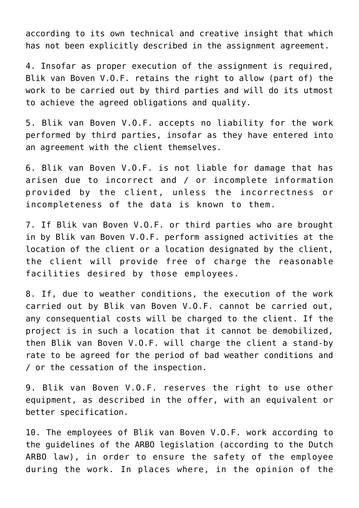according to its own technical and creative insight that which has not been explicitly described in the assignment agreement.

4. Insofar as proper execution of the assignment is required, Blik van Boven V.O.F. retains the right to allow (part of) the work to be carried out by third parties and will do its utmost to achieve the agreed obligations and quality.

5. Blik van Boven V.O.F. accepts no liability for the work performed by third parties, insofar as they have entered into an agreement with the client themselves.

6. Blik van Boven V.O.F. is not liable for damage that has arisen due to incorrect and / or incomplete information provided by the client, unless the incorrectness or incompleteness of the data is known to them.

7. If Blik van Boven V.O.F. or third parties who are brought in by Blik van Boven V.O.F. perform assigned activities at the location of the client or a location designated by the client, the client will provide free of charge the reasonable facilities desired by those employees.

8. If, due to weather conditions, the execution of the work carried out by Blik van Boven V.O.F. cannot be carried out, any consequential costs will be charged to the client. If the project is in such a location that it cannot be demobilized, then Blik van Boven V.O.F. will charge the client a stand-by rate to be agreed for the period of bad weather conditions and / or the cessation of the inspection.

9. Blik van Boven V.O.F. reserves the right to use other equipment, as described in the offer, with an equivalent or better specification.

10. The employees of Blik van Boven V.O.F. work according to the guidelines of the ARBO legislation (according to the Dutch ARBO law), in order to ensure the safety of the employee during the work. In places where, in the opinion of the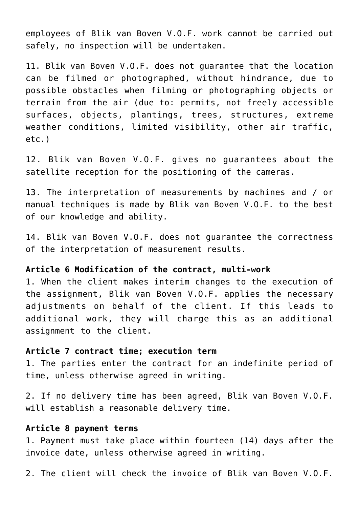employees of Blik van Boven V.O.F. work cannot be carried out safely, no inspection will be undertaken.

11. Blik van Boven V.O.F. does not guarantee that the location can be filmed or photographed, without hindrance, due to possible obstacles when filming or photographing objects or terrain from the air (due to: permits, not freely accessible surfaces, objects, plantings, trees, structures, extreme weather conditions, limited visibility, other air traffic, etc.)

12. Blik van Boven V.O.F. gives no guarantees about the satellite reception for the positioning of the cameras.

13. The interpretation of measurements by machines and / or manual techniques is made by Blik van Boven V.O.F. to the best of our knowledge and ability.

14. Blik van Boven V.O.F. does not guarantee the correctness of the interpretation of measurement results.

### **Article 6 Modification of the contract, multi-work**

1. When the client makes interim changes to the execution of the assignment, Blik van Boven V.O.F. applies the necessary adjustments on behalf of the client. If this leads to additional work, they will charge this as an additional assignment to the client.

#### **Article 7 contract time; execution term**

1. The parties enter the contract for an indefinite period of time, unless otherwise agreed in writing.

2. If no delivery time has been agreed, Blik van Boven V.O.F. will establish a reasonable delivery time.

#### **Article 8 payment terms**

1. Payment must take place within fourteen (14) days after the invoice date, unless otherwise agreed in writing.

2. The client will check the invoice of Blik van Boven V.O.F.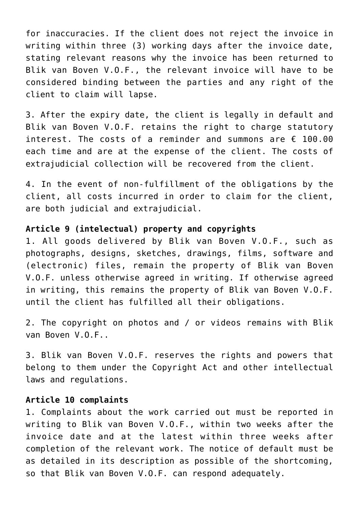for inaccuracies. If the client does not reject the invoice in writing within three (3) working days after the invoice date, stating relevant reasons why the invoice has been returned to Blik van Boven V.O.F., the relevant invoice will have to be considered binding between the parties and any right of the client to claim will lapse.

3. After the expiry date, the client is legally in default and Blik van Boven V.O.F. retains the right to charge statutory interest. The costs of a reminder and summons are  $\epsilon$  100.00 each time and are at the expense of the client. The costs of extrajudicial collection will be recovered from the client.

4. In the event of non-fulfillment of the obligations by the client, all costs incurred in order to claim for the client, are both judicial and extrajudicial.

## **Article 9 (intelectual) property and copyrights**

1. All goods delivered by Blik van Boven V.O.F., such as photographs, designs, sketches, drawings, films, software and (electronic) files, remain the property of Blik van Boven V.O.F. unless otherwise agreed in writing. If otherwise agreed in writing, this remains the property of Blik van Boven V.O.F. until the client has fulfilled all their obligations.

2. The copyright on photos and / or videos remains with Blik van Boven V.O.F..

3. Blik van Boven V.O.F. reserves the rights and powers that belong to them under the Copyright Act and other intellectual laws and regulations.

#### **Article 10 complaints**

1. Complaints about the work carried out must be reported in writing to Blik van Boven V.O.F., within two weeks after the invoice date and at the latest within three weeks after completion of the relevant work. The notice of default must be as detailed in its description as possible of the shortcoming, so that Blik van Boven V.O.F. can respond adequately.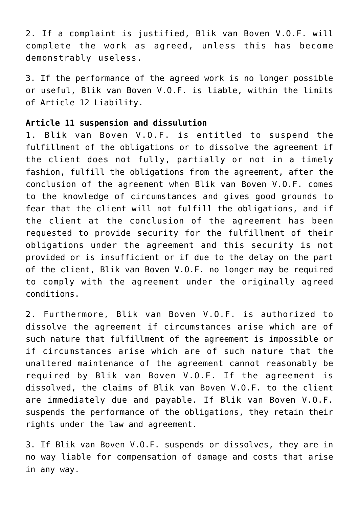2. If a complaint is justified, Blik van Boven V.O.F. will complete the work as agreed, unless this has become demonstrably useless.

3. If the performance of the agreed work is no longer possible or useful, Blik van Boven V.O.F. is liable, within the limits of Article 12 Liability.

### **Article 11 suspension and dissulution**

1. Blik van Boven V.O.F. is entitled to suspend the fulfillment of the obligations or to dissolve the agreement if the client does not fully, partially or not in a timely fashion, fulfill the obligations from the agreement, after the conclusion of the agreement when Blik van Boven V.O.F. comes to the knowledge of circumstances and gives good grounds to fear that the client will not fulfill the obligations, and if the client at the conclusion of the agreement has been requested to provide security for the fulfillment of their obligations under the agreement and this security is not provided or is insufficient or if due to the delay on the part of the client, Blik van Boven V.O.F. no longer may be required to comply with the agreement under the originally agreed conditions.

2. Furthermore, Blik van Boven V.O.F. is authorized to dissolve the agreement if circumstances arise which are of such nature that fulfillment of the agreement is impossible or if circumstances arise which are of such nature that the unaltered maintenance of the agreement cannot reasonably be required by Blik van Boven V.O.F. If the agreement is dissolved, the claims of Blik van Boven V.O.F. to the client are immediately due and payable. If Blik van Boven V.O.F. suspends the performance of the obligations, they retain their rights under the law and agreement.

3. If Blik van Boven V.O.F. suspends or dissolves, they are in no way liable for compensation of damage and costs that arise in any way.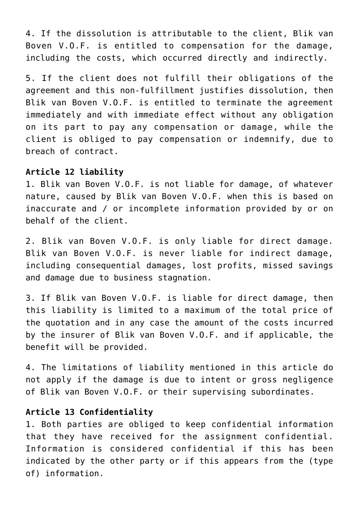4. If the dissolution is attributable to the client, Blik van Boven V.O.F. is entitled to compensation for the damage, including the costs, which occurred directly and indirectly.

5. If the client does not fulfill their obligations of the agreement and this non-fulfillment justifies dissolution, then Blik van Boven V.O.F. is entitled to terminate the agreement immediately and with immediate effect without any obligation on its part to pay any compensation or damage, while the client is obliged to pay compensation or indemnify, due to breach of contract.

#### **Article 12 liability**

1. Blik van Boven V.O.F. is not liable for damage, of whatever nature, caused by Blik van Boven V.O.F. when this is based on inaccurate and / or incomplete information provided by or on behalf of the client.

2. Blik van Boven V.O.F. is only liable for direct damage. Blik van Boven V.O.F. is never liable for indirect damage, including consequential damages, lost profits, missed savings and damage due to business stagnation.

3. If Blik van Boven V.O.F. is liable for direct damage, then this liability is limited to a maximum of the total price of the quotation and in any case the amount of the costs incurred by the insurer of Blik van Boven V.O.F. and if applicable, the benefit will be provided.

4. The limitations of liability mentioned in this article do not apply if the damage is due to intent or gross negligence of Blik van Boven V.O.F. or their supervising subordinates.

#### **Article 13 Confidentiality**

1. Both parties are obliged to keep confidential information that they have received for the assignment confidential. Information is considered confidential if this has been indicated by the other party or if this appears from the (type of) information.